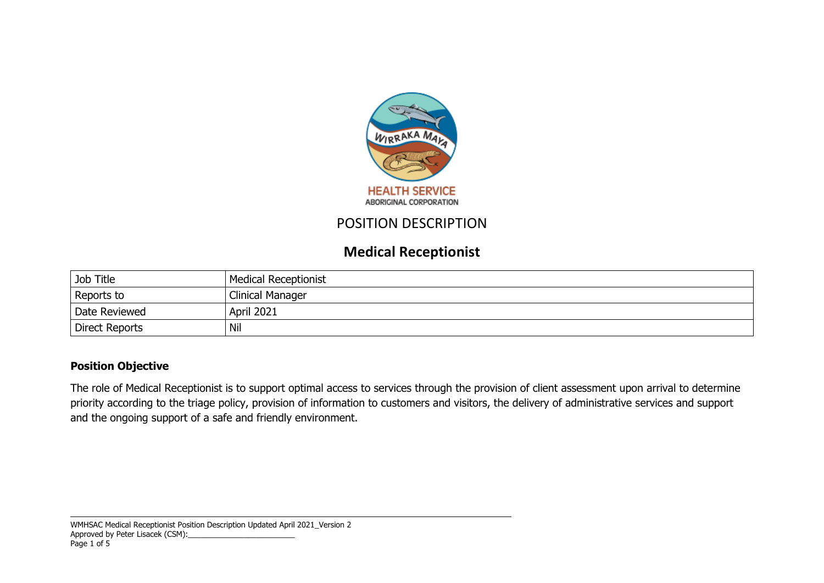

## POSITION DESCRIPTION

# **Medical Receptionist**

| Job Title      | <b>Medical Receptionist</b> |
|----------------|-----------------------------|
| Reports to     | Clinical Manager            |
| Date Reviewed  | April 2021                  |
| Direct Reports | Nil                         |

#### **Position Objective**

The role of Medical Receptionist is to support optimal access to services through the provision of client assessment upon arrival to determine priority according to the triage policy, provision of information to customers and visitors, the delivery of administrative services and support and the ongoing support of a safe and friendly environment.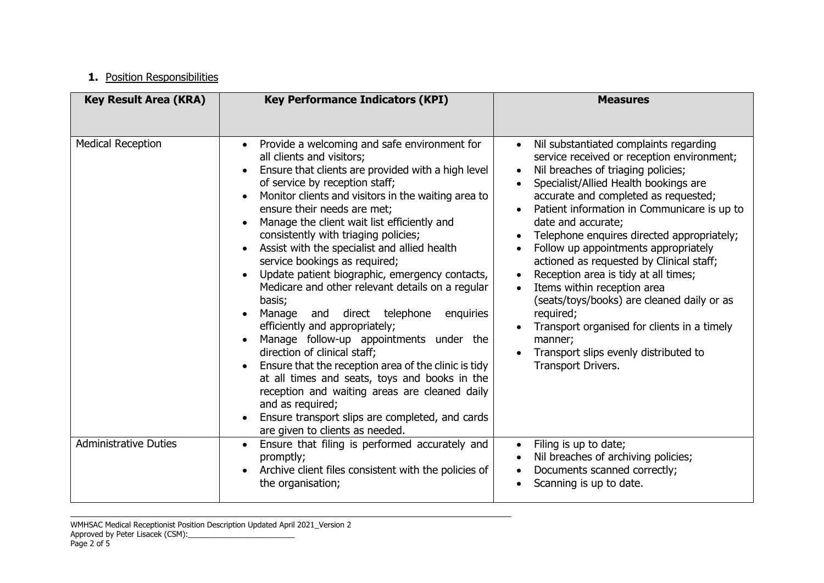## **1.** Position Responsibilities

| <b>Key Result Area (KRA)</b> | <b>Key Performance Indicators (KPI)</b>                                                                                                                                                                                                                                                                                                                                                                                                                                                                                                                                                                                                                                                                                                                                                                                                                                                                                                                                      | <b>Measures</b>                                                                                                                                                                                                                                                                                                                                                                                                                                                                                                                                                                                                                                                                            |
|------------------------------|------------------------------------------------------------------------------------------------------------------------------------------------------------------------------------------------------------------------------------------------------------------------------------------------------------------------------------------------------------------------------------------------------------------------------------------------------------------------------------------------------------------------------------------------------------------------------------------------------------------------------------------------------------------------------------------------------------------------------------------------------------------------------------------------------------------------------------------------------------------------------------------------------------------------------------------------------------------------------|--------------------------------------------------------------------------------------------------------------------------------------------------------------------------------------------------------------------------------------------------------------------------------------------------------------------------------------------------------------------------------------------------------------------------------------------------------------------------------------------------------------------------------------------------------------------------------------------------------------------------------------------------------------------------------------------|
|                              |                                                                                                                                                                                                                                                                                                                                                                                                                                                                                                                                                                                                                                                                                                                                                                                                                                                                                                                                                                              |                                                                                                                                                                                                                                                                                                                                                                                                                                                                                                                                                                                                                                                                                            |
| <b>Medical Reception</b>     | Provide a welcoming and safe environment for<br>all clients and visitors;<br>Ensure that clients are provided with a high level<br>of service by reception staff;<br>Monitor clients and visitors in the waiting area to<br>ensure their needs are met;<br>Manage the client wait list efficiently and<br>consistently with triaging policies;<br>Assist with the specialist and allied health<br>service bookings as required;<br>Update patient biographic, emergency contacts,<br>Medicare and other relevant details on a regular<br>basis;<br>Manage and direct telephone<br>enquiries<br>efficiently and appropriately;<br>Manage follow-up appointments under the<br>direction of clinical staff;<br>Ensure that the reception area of the clinic is tidy<br>at all times and seats, toys and books in the<br>reception and waiting areas are cleaned daily<br>and as required;<br>Ensure transport slips are completed, and cards<br>are given to clients as needed. | Nil substantiated complaints regarding<br>service received or reception environment;<br>Nil breaches of triaging policies;<br>Specialist/Allied Health bookings are<br>accurate and completed as requested;<br>Patient information in Communicare is up to<br>date and accurate;<br>Telephone enquires directed appropriately;<br>Follow up appointments appropriately<br>actioned as requested by Clinical staff;<br>Reception area is tidy at all times;<br>Items within reception area<br>$\bullet$<br>(seats/toys/books) are cleaned daily or as<br>required;<br>Transport organised for clients in a timely<br>manner;<br>Transport slips evenly distributed to<br>Transport Drivers. |
| <b>Administrative Duties</b> | Ensure that filing is performed accurately and<br>$\bullet$<br>promptly;<br>Archive client files consistent with the policies of<br>the organisation;                                                                                                                                                                                                                                                                                                                                                                                                                                                                                                                                                                                                                                                                                                                                                                                                                        | Filing is up to date;<br>$\bullet$<br>Nil breaches of archiving policies;<br>Documents scanned correctly;<br>Scanning is up to date.                                                                                                                                                                                                                                                                                                                                                                                                                                                                                                                                                       |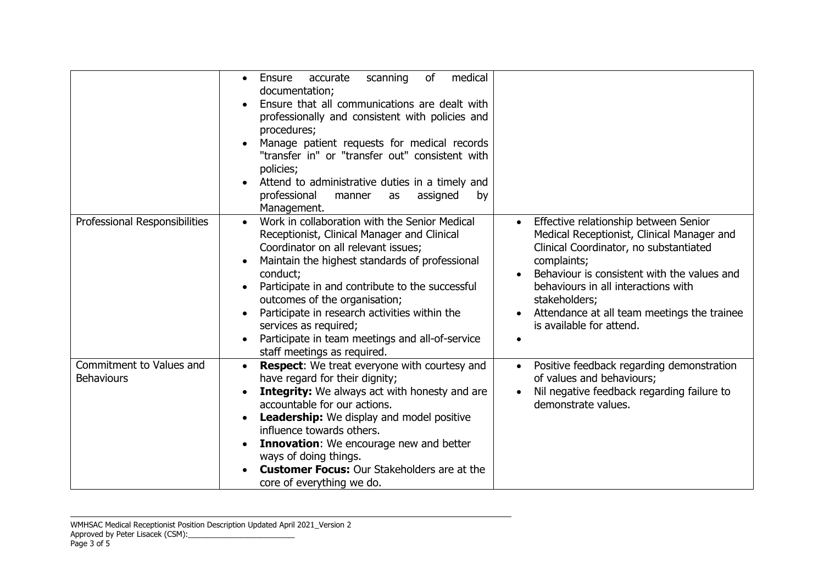|                                               | medical<br>accurate<br>scanning<br>0f<br>Ensure<br>$\bullet$<br>documentation;<br>Ensure that all communications are dealt with<br>professionally and consistent with policies and<br>procedures;<br>Manage patient requests for medical records<br>"transfer in" or "transfer out" consistent with<br>policies;<br>Attend to administrative duties in a timely and<br>professional<br>assigned<br>manner<br>by<br>as<br>Management.              |                                                                                                                                                                                                                                                                                                                                             |
|-----------------------------------------------|---------------------------------------------------------------------------------------------------------------------------------------------------------------------------------------------------------------------------------------------------------------------------------------------------------------------------------------------------------------------------------------------------------------------------------------------------|---------------------------------------------------------------------------------------------------------------------------------------------------------------------------------------------------------------------------------------------------------------------------------------------------------------------------------------------|
| Professional Responsibilities                 | Work in collaboration with the Senior Medical<br>Receptionist, Clinical Manager and Clinical<br>Coordinator on all relevant issues;<br>Maintain the highest standards of professional<br>conduct;<br>Participate in and contribute to the successful<br>outcomes of the organisation;<br>Participate in research activities within the<br>services as required;<br>Participate in team meetings and all-of-service<br>staff meetings as required. | Effective relationship between Senior<br>$\bullet$<br>Medical Receptionist, Clinical Manager and<br>Clinical Coordinator, no substantiated<br>complaints;<br>Behaviour is consistent with the values and<br>behaviours in all interactions with<br>stakeholders;<br>Attendance at all team meetings the trainee<br>is available for attend. |
| Commitment to Values and<br><b>Behaviours</b> | <b>Respect:</b> We treat everyone with courtesy and<br>$\bullet$<br>have regard for their dignity;<br><b>Integrity:</b> We always act with honesty and are<br>accountable for our actions.<br>Leadership: We display and model positive<br>influence towards others.<br>Innovation: We encourage new and better<br>ways of doing things.<br><b>Customer Focus:</b> Our Stakeholders are at the<br>core of everything we do.                       | Positive feedback regarding demonstration<br>of values and behaviours;<br>Nil negative feedback regarding failure to<br>demonstrate values.                                                                                                                                                                                                 |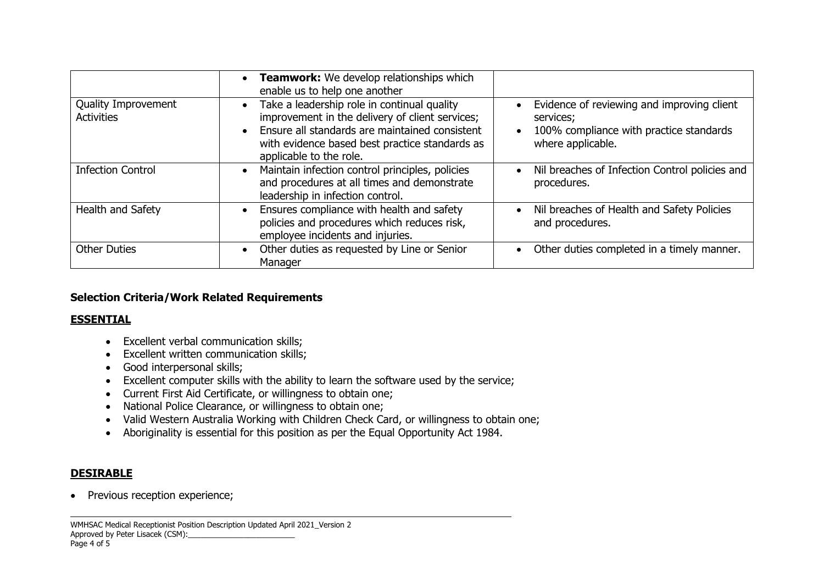|                                          | <b>Teamwork:</b> We develop relationships which<br>enable us to help one another                                                                                                                                              |                                                                                                                         |  |
|------------------------------------------|-------------------------------------------------------------------------------------------------------------------------------------------------------------------------------------------------------------------------------|-------------------------------------------------------------------------------------------------------------------------|--|
| Quality Improvement<br><b>Activities</b> | Take a leadership role in continual quality<br>improvement in the delivery of client services;<br>Ensure all standards are maintained consistent<br>with evidence based best practice standards as<br>applicable to the role. | Evidence of reviewing and improving client<br>services;<br>100% compliance with practice standards<br>where applicable. |  |
| <b>Infection Control</b>                 | Maintain infection control principles, policies<br>and procedures at all times and demonstrate<br>leadership in infection control.                                                                                            | Nil breaches of Infection Control policies and<br>procedures.                                                           |  |
| Health and Safety                        | Ensures compliance with health and safety<br>policies and procedures which reduces risk,<br>employee incidents and injuries.                                                                                                  | Nil breaches of Health and Safety Policies<br>and procedures.                                                           |  |
| <b>Other Duties</b>                      | Other duties as requested by Line or Senior<br>Manager                                                                                                                                                                        | Other duties completed in a timely manner.                                                                              |  |

### **Selection Criteria/Work Related Requirements**

### **ESSENTIAL**

- Excellent verbal communication skills;
- Excellent written communication skills;
- Good interpersonal skills;
- Excellent computer skills with the ability to learn the software used by the service;
- Current First Aid Certificate, or willingness to obtain one;
- National Police Clearance, or willingness to obtain one;
- Valid Western Australia Working with Children Check Card, or willingness to obtain one;
- Aboriginality is essential for this position as per the Equal Opportunity Act 1984.

### **DESIRABLE**

• Previous reception experience;